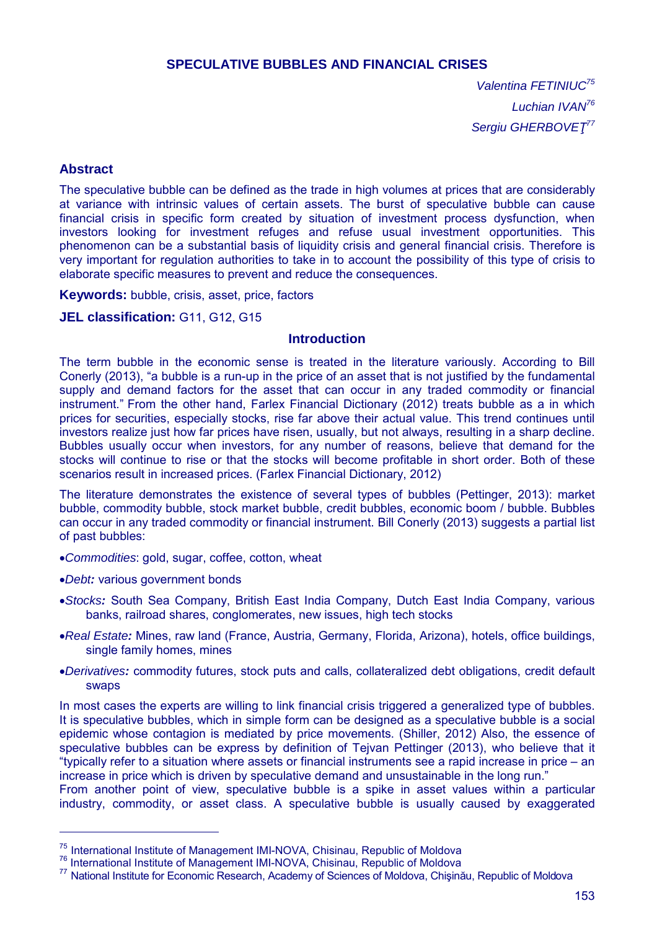# **SPECULATIVE BUBBLES AND FINANCIAL CRISES**

*Valentina FETINIUC<sup>75</sup> Luchian IVAN<sup>76</sup> Sergiu GHERBOVEŢ 77*

## **Abstract**

The speculative bubble can be defined as the trade in high volumes at prices that are considerably at variance with intrinsic values of certain assets. The burst of speculative bubble can cause financial crisis in specific form created by situation of investment process dysfunction, when investors looking for investment refuges and refuse usual investment opportunities. This phenomenon can be a substantial basis of liquidity crisis and general financial crisis. Therefore is very important for regulation authorities to take in to account the possibility of this type of crisis to elaborate specific measures to prevent and reduce the consequences.

**Keywords:** bubble, crisis, asset, price, factors

**JEL classification:** G11, G12, G15

### **Introduction**

The term bubble in the economic sense is treated in the literature variously. According to Bill Conerly (2013), "a bubble is a run-up in the price of an asset that is not justified by the fundamental supply and demand factors for the asset that can occur in any traded commodity or financial instrument." From the other hand, Farlex Financial Dictionary (2012) treats bubble as a in which prices for securities, especially stocks, rise far above their actual value. This trend continues until investors realize just how far prices have risen, usually, but not always, resulting in a sharp decline. Bubbles usually occur when investors, for any number of reasons, believe that demand for the stocks will continue to rise or that the stocks will become profitable in short order. Both of these scenarios result in increased prices. (Farlex Financial Dictionary, 2012)

The literature demonstrates the existence of several types of bubbles (Pettinger, 2013): market bubble, commodity bubble, stock market bubble, credit bubbles, economic boom / bubble. Bubbles can occur in any traded commodity or financial instrument. Bill Conerly (2013) suggests a partial list of past bubbles:

- *Commodities*: gold, sugar, coffee, cotton, wheat
- *Debt:* various government bonds

 $\overline{a}$ 

- *Stocks:* South Sea Company, British East India Company, Dutch East India Company, various banks, railroad shares, conglomerates, new issues, high tech stocks
- *Real Estate:* Mines, raw land (France, Austria, Germany, Florida, Arizona), hotels, office buildings, single family homes, mines
- *Derivatives:* commodity futures, stock puts and calls, collateralized debt obligations, credit default swaps

In most cases the experts are willing to link financial crisis triggered a generalized type of bubbles. It is speculative bubbles, which in simple form can be designed as a speculative bubble is a social epidemic whose contagion is mediated by price movements. (Shiller, 2012) Also, the essence of speculative bubbles can be express by definition of Tejvan Pettinger (2013), who believe that it "typically refer to a situation where assets or financial instruments see a rapid increase in price – an increase in price which is driven by speculative demand and unsustainable in the long run."

From another point of view, speculative bubble is a spike in asset values within a particular industry, commodity, or asset class. A speculative bubble is usually caused by exaggerated

<sup>75</sup> International Institute of Management IMI-NOVA, Chisinau, Republic of Moldova

<sup>76</sup> International Institute of Management IMI-NOVA, Chisinau, Republic of Moldova

<sup>77</sup> National Institute for Economic Research, Academy of Sciences of Moldova, Chişinău, Republic of Moldova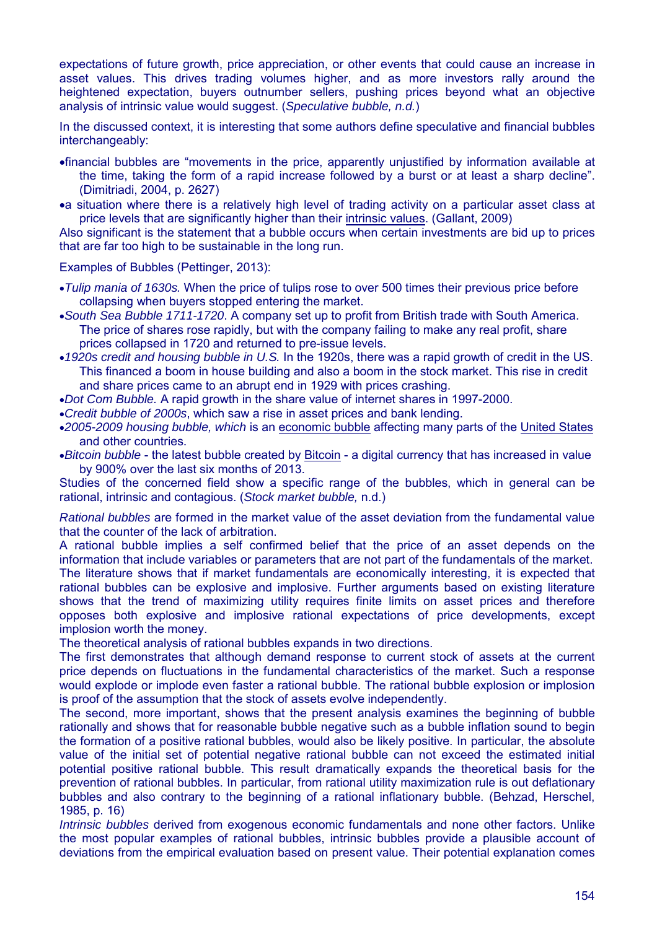expectations of future growth, price appreciation, or other events that could cause an increase in asset values. This drives trading volumes higher, and as more investors rally around the heightened expectation, buyers outnumber sellers, pushing prices beyond what an objective analysis of intrinsic value would suggest. (*Speculative bubble, n.d.*)

In the discussed context, it is interesting that some authors define speculative and financial bubbles interchangeably:

- financial bubbles are "movements in the price, apparently unjustified by information available at the time, taking the form of a rapid increase followed by a burst or at least a sharp decline". (Dimitriadi, 2004, p. 2627)
- a situation where there is a relatively high level of trading activity on a particular asset class at price levels that are significantly higher than their intrinsic values. (Gallant, 2009)

Also significant is the statement that a bubble occurs when certain investments are bid up to prices that are far too high to be sustainable in the long run.

Examples of Bubbles (Pettinger, 2013):

- *Tulip mania of 1630s.* When the price of tulips rose to over 500 times their previous price before collapsing when buyers stopped entering the market.
- *South Sea Bubble 1711-1720*. A company set up to profit from British trade with South America. The price of shares rose rapidly, but with the company failing to make any real profit, share prices collapsed in 1720 and returned to pre-issue levels.
- *1920s credit and housing bubble in U.S.* In the 1920s, there was a rapid growth of credit in the US. This financed a boom in house building and also a boom in the stock market. This rise in credit and share prices came to an abrupt end in 1929 with prices crashing.
- *Dot Com Bubble.* A rapid growth in the share value of internet shares in 1997-2000.
- *Credit bubble of 2000s*, which saw a rise in asset prices and bank lending.
- *2005-2009 housing bubble, which* is an economic bubble affecting many parts of the United States and other countries.
- *Bitcoin bubble* the latest bubble created by Bitcoin a digital currency that has increased in value by 900% over the last six months of 2013.

Studies of the concerned field show a specific range of the bubbles, which in general can be rational, intrinsic and contagious. (*Stock market bubble,* n.d.)

*Rational bubbles* are formed in the market value of the asset deviation from the fundamental value that the counter of the lack of arbitration.

A rational bubble implies a self confirmed belief that the price of an asset depends on the information that include variables or parameters that are not part of the fundamentals of the market. The literature shows that if market fundamentals are economically interesting, it is expected that rational bubbles can be explosive and implosive. Further arguments based on existing literature shows that the trend of maximizing utility requires finite limits on asset prices and therefore opposes both explosive and implosive rational expectations of price developments, except implosion worth the money.

The theoretical analysis of rational bubbles expands in two directions.

The first demonstrates that although demand response to current stock of assets at the current price depends on fluctuations in the fundamental characteristics of the market. Such a response would explode or implode even faster a rational bubble. The rational bubble explosion or implosion is proof of the assumption that the stock of assets evolve independently.

The second, more important, shows that the present analysis examines the beginning of bubble rationally and shows that for reasonable bubble negative such as a bubble inflation sound to begin the formation of a positive rational bubbles, would also be likely positive. In particular, the absolute value of the initial set of potential negative rational bubble can not exceed the estimated initial potential positive rational bubble. This result dramatically expands the theoretical basis for the prevention of rational bubbles. In particular, from rational utility maximization rule is out deflationary bubbles and also contrary to the beginning of a rational inflationary bubble. (Behzad, Herschel, 1985, p. 16)

*Intrinsic bubbles* derived from exogenous economic fundamentals and none other factors. Unlike the most popular examples of rational bubbles, intrinsic bubbles provide a plausible account of deviations from the empirical evaluation based on present value. Their potential explanation comes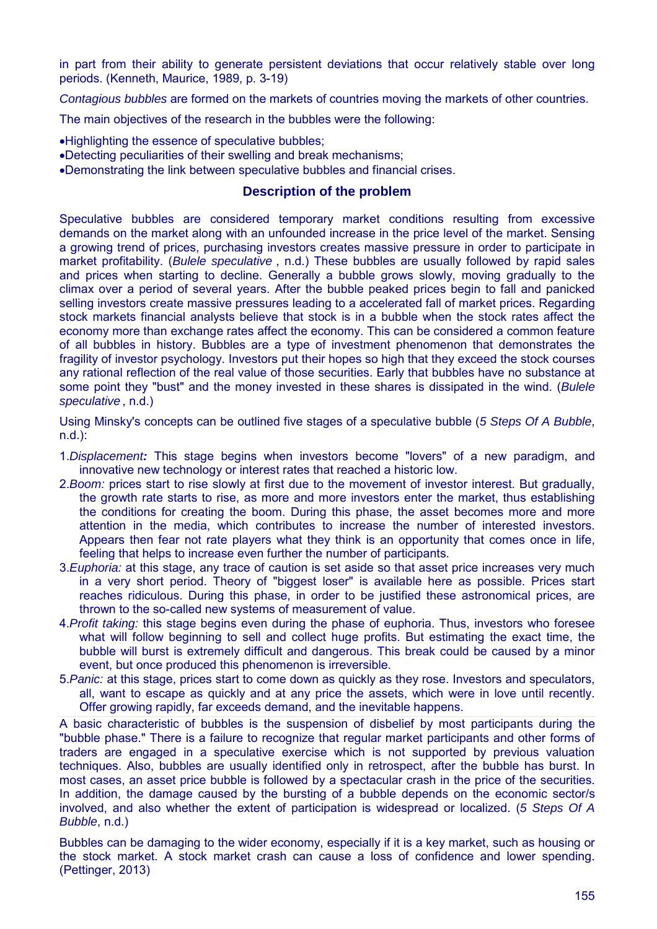in part from their ability to generate persistent deviations that occur relatively stable over long periods. (Kenneth, Maurice, 1989, p. 3-19)

*Contagious bubbles* are formed on the markets of countries moving the markets of other countries.

The main objectives of the research in the bubbles were the following:

Highlighting the essence of speculative bubbles;

Detecting peculiarities of their swelling and break mechanisms;

Demonstrating the link between speculative bubbles and financial crises.

### **Description of the problem**

Speculative bubbles are considered temporary market conditions resulting from excessive demands on the market along with an unfounded increase in the price level of the market. Sensing a growing trend of prices, purchasing investors creates massive pressure in order to participate in market profitability. (*Bulele speculative* , n.d.) These bubbles are usually followed by rapid sales and prices when starting to decline. Generally a bubble grows slowly, moving gradually to the climax over a period of several years. After the bubble peaked prices begin to fall and panicked selling investors create massive pressures leading to a accelerated fall of market prices. Regarding stock markets financial analysts believe that stock is in a bubble when the stock rates affect the economy more than exchange rates affect the economy. This can be considered a common feature of all bubbles in history. Bubbles are a type of investment phenomenon that demonstrates the fragility of investor psychology. Investors put their hopes so high that they exceed the stock courses any rational reflection of the real value of those securities. Early that bubbles have no substance at some point they "bust" and the money invested in these shares is dissipated in the wind. (*Bulele speculative* , n.d.)

Using Minsky's concepts can be outlined five stages of a speculative bubble (*5 Steps Of A Bubble*, n.d.):

- 1.*Displacement:* This stage begins when investors become "lovers" of a new paradigm, and innovative new technology or interest rates that reached a historic low.
- 2.*Boom:* prices start to rise slowly at first due to the movement of investor interest. But gradually, the growth rate starts to rise, as more and more investors enter the market, thus establishing the conditions for creating the boom. During this phase, the asset becomes more and more attention in the media, which contributes to increase the number of interested investors. Appears then fear not rate players what they think is an opportunity that comes once in life, feeling that helps to increase even further the number of participants.
- 3.*Euphoria:* at this stage, any trace of caution is set aside so that asset price increases very much in a very short period. Theory of "biggest loser" is available here as possible. Prices start reaches ridiculous. During this phase, in order to be justified these astronomical prices, are thrown to the so-called new systems of measurement of value.
- 4.*Profit taking:* this stage begins even during the phase of euphoria. Thus, investors who foresee what will follow beginning to sell and collect huge profits. But estimating the exact time, the bubble will burst is extremely difficult and dangerous. This break could be caused by a minor event, but once produced this phenomenon is irreversible.
- 5.*Panic:* at this stage, prices start to come down as quickly as they rose. Investors and speculators, all, want to escape as quickly and at any price the assets, which were in love until recently. Offer growing rapidly, far exceeds demand, and the inevitable happens.

A basic characteristic of bubbles is the suspension of disbelief by most participants during the "bubble phase." There is a failure to recognize that regular market participants and other forms of traders are engaged in a speculative exercise which is not supported by previous valuation techniques. Also, bubbles are usually identified only in retrospect, after the bubble has burst. In most cases, an asset price bubble is followed by a spectacular crash in the price of the securities. In addition, the damage caused by the bursting of a bubble depends on the economic sector/s involved, and also whether the extent of participation is widespread or localized. (*5 Steps Of A Bubble*, n.d.)

Bubbles can be damaging to the wider economy, especially if it is a key market, such as housing or the stock market. A stock market crash can cause a loss of confidence and lower spending. (Pettinger, 2013)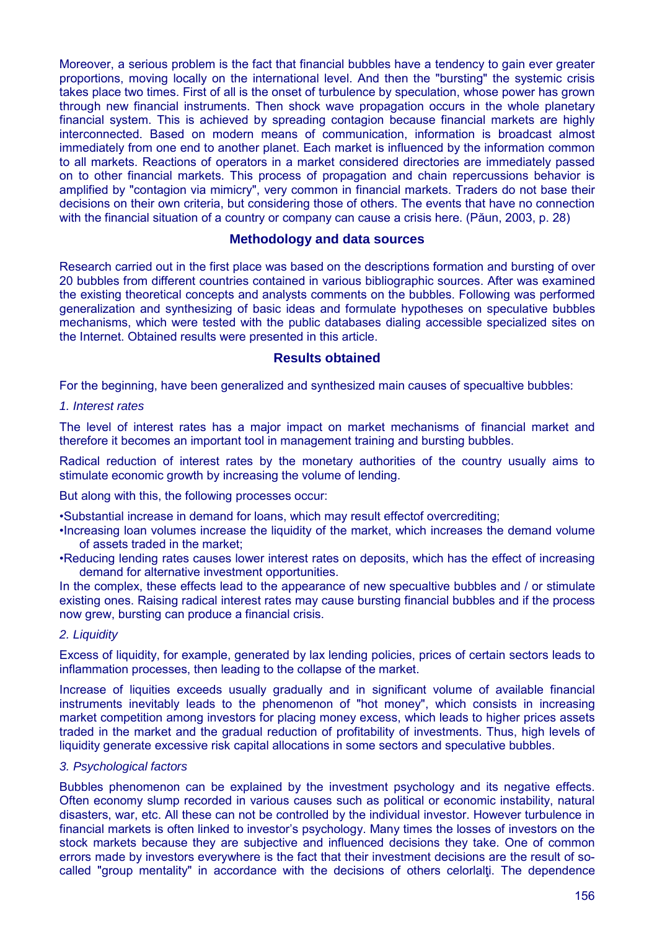Moreover, a serious problem is the fact that financial bubbles have a tendency to gain ever greater proportions, moving locally on the international level. And then the "bursting" the systemic crisis takes place two times. First of all is the onset of turbulence by speculation, whose power has grown through new financial instruments. Then shock wave propagation occurs in the whole planetary financial system. This is achieved by spreading contagion because financial markets are highly interconnected. Based on modern means of communication, information is broadcast almost immediately from one end to another planet. Each market is influenced by the information common to all markets. Reactions of operators in a market considered directories are immediately passed on to other financial markets. This process of propagation and chain repercussions behavior is amplified by "contagion via mimicry", very common in financial markets. Traders do not base their decisions on their own criteria, but considering those of others. The events that have no connection with the financial situation of a country or company can cause a crisis here. (Păun, 2003, p. 28)

#### **Methodology and data sources**

Research carried out in the first place was based on the descriptions formation and bursting of over 20 bubbles from different countries contained in various bibliographic sources. After was examined the existing theoretical concepts and analysts comments on the bubbles. Following was performed generalization and synthesizing of basic ideas and formulate hypotheses on speculative bubbles mechanisms, which were tested with the public databases dialing accessible specialized sites on the Internet. Obtained results were presented in this article.

#### **Results obtained**

For the beginning, have been generalized and synthesized main causes of specualtive bubbles:

#### *1. Interest rates*

The level of interest rates has a major impact on market mechanisms of financial market and therefore it becomes an important tool in management training and bursting bubbles.

Radical reduction of interest rates by the monetary authorities of the country usually aims to stimulate economic growth by increasing the volume of lending.

But along with this, the following processes occur:

•Substantial increase in demand for loans, which may result effectof overcrediting;

- •Increasing loan volumes increase the liquidity of the market, which increases the demand volume of assets traded in the market;
- •Reducing lending rates causes lower interest rates on deposits, which has the effect of increasing demand for alternative investment opportunities.

In the complex, these effects lead to the appearance of new specualtive bubbles and / or stimulate existing ones. Raising radical interest rates may cause bursting financial bubbles and if the process now grew, bursting can produce a financial crisis.

#### *2. Liquidity*

Excess of liquidity, for example, generated by lax lending policies, prices of certain sectors leads to inflammation processes, then leading to the collapse of the market.

Increase of liquities exceeds usually gradually and in significant volume of available financial instruments inevitably leads to the phenomenon of "hot money", which consists in increasing market competition among investors for placing money excess, which leads to higher prices assets traded in the market and the gradual reduction of profitability of investments. Thus, high levels of liquidity generate excessive risk capital allocations in some sectors and speculative bubbles.

#### *3. Psychological factors*

Bubbles phenomenon can be explained by the investment psychology and its negative effects. Often economy slump recorded in various causes such as political or economic instability, natural disasters, war, etc. All these can not be controlled by the individual investor. However turbulence in financial markets is often linked to investor's psychology. Many times the losses of investors on the stock markets because they are subjective and influenced decisions they take. One of common errors made by investors everywhere is the fact that their investment decisions are the result of socalled "group mentality" in accordance with the decisions of others celorialti. The dependence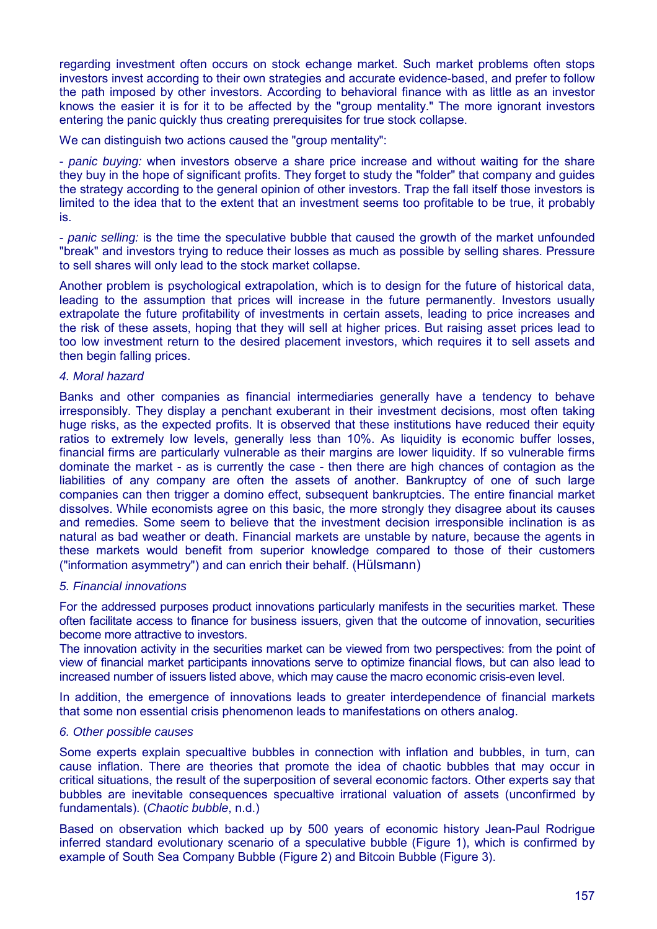regarding investment often occurs on stock echange market. Such market problems often stops investors invest according to their own strategies and accurate evidence-based, and prefer to follow the path imposed by other investors. According to behavioral finance with as little as an investor knows the easier it is for it to be affected by the "group mentality." The more ignorant investors entering the panic quickly thus creating prerequisites for true stock collapse.

We can distinguish two actions caused the "group mentality":

- *panic buying:* when investors observe a share price increase and without waiting for the share they buy in the hope of significant profits. They forget to study the "folder" that company and guides the strategy according to the general opinion of other investors. Trap the fall itself those investors is limited to the idea that to the extent that an investment seems too profitable to be true, it probably is.

- *panic selling:* is the time the speculative bubble that caused the growth of the market unfounded "break" and investors trying to reduce their losses as much as possible by selling shares. Pressure to sell shares will only lead to the stock market collapse.

Another problem is psychological extrapolation, which is to design for the future of historical data, leading to the assumption that prices will increase in the future permanently. Investors usually extrapolate the future profitability of investments in certain assets, leading to price increases and the risk of these assets, hoping that they will sell at higher prices. But raising asset prices lead to too low investment return to the desired placement investors, which requires it to sell assets and then begin falling prices.

#### *4. Moral hazard*

Banks and other companies as financial intermediaries generally have a tendency to behave irresponsibly. They display a penchant exuberant in their investment decisions, most often taking huge risks, as the expected profits. It is observed that these institutions have reduced their equity ratios to extremely low levels, generally less than 10%. As liquidity is economic buffer losses, financial firms are particularly vulnerable as their margins are lower liquidity. If so vulnerable firms dominate the market - as is currently the case - then there are high chances of contagion as the liabilities of any company are often the assets of another. Bankruptcy of one of such large companies can then trigger a domino effect, subsequent bankruptcies. The entire financial market dissolves. While economists agree on this basic, the more strongly they disagree about its causes and remedies. Some seem to believe that the investment decision irresponsible inclination is as natural as bad weather or death. Financial markets are unstable by nature, because the agents in these markets would benefit from superior knowledge compared to those of their customers ("information asymmetry") and can enrich their behalf. (Hülsmann)

#### *5. Financial innovations*

For the addressed purposes product innovations particularly manifests in the securities market. These often facilitate access to finance for business issuers, given that the outcome of innovation, securities become more attractive to investors.

The innovation activity in the securities market can be viewed from two perspectives: from the point of view of financial market participants innovations serve to optimize financial flows, but can also lead to increased number of issuers listed above, which may cause the macro economic crisis-even level.

In addition, the emergence of innovations leads to greater interdependence of financial markets that some non essential crisis phenomenon leads to manifestations on others analog.

#### *6. Other possible causes*

Some experts explain specualtive bubbles in connection with inflation and bubbles, in turn, can cause inflation. There are theories that promote the idea of chaotic bubbles that may occur in critical situations, the result of the superposition of several economic factors. Other experts say that bubbles are inevitable consequences specualtive irrational valuation of assets (unconfirmed by fundamentals). (*Chaotic bubble*, n.d.)

Based on observation which backed up by 500 years of economic history Jean-Paul Rodrigue inferred standard evolutionary scenario of a speculative bubble (Figure 1), which is confirmed by example of South Sea Company Bubble (Figure 2) and Bitcoin Bubble (Figure 3).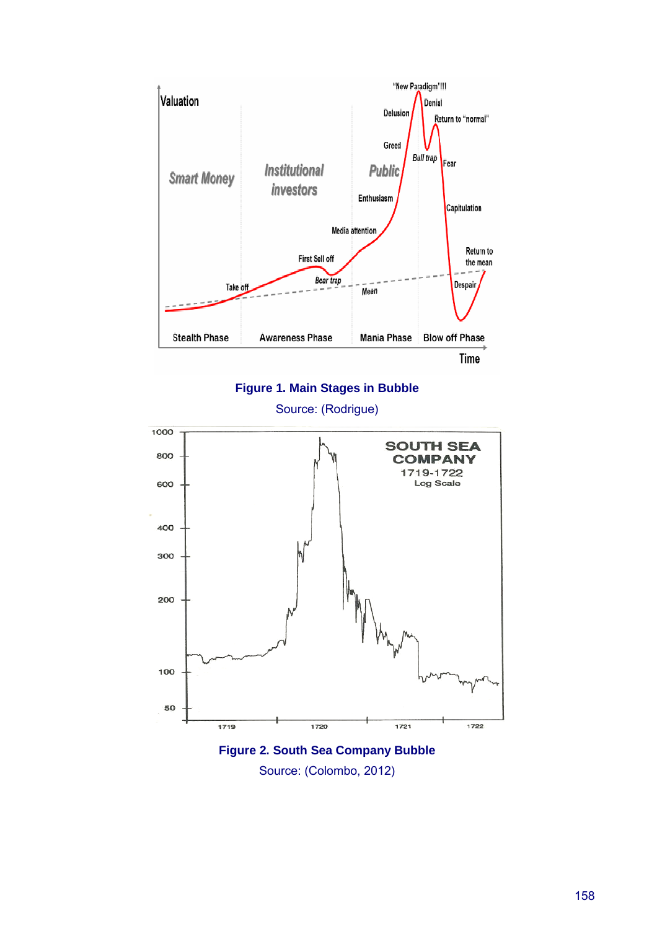



Source: (Rodrigue)





Source: (Colombo, 2012)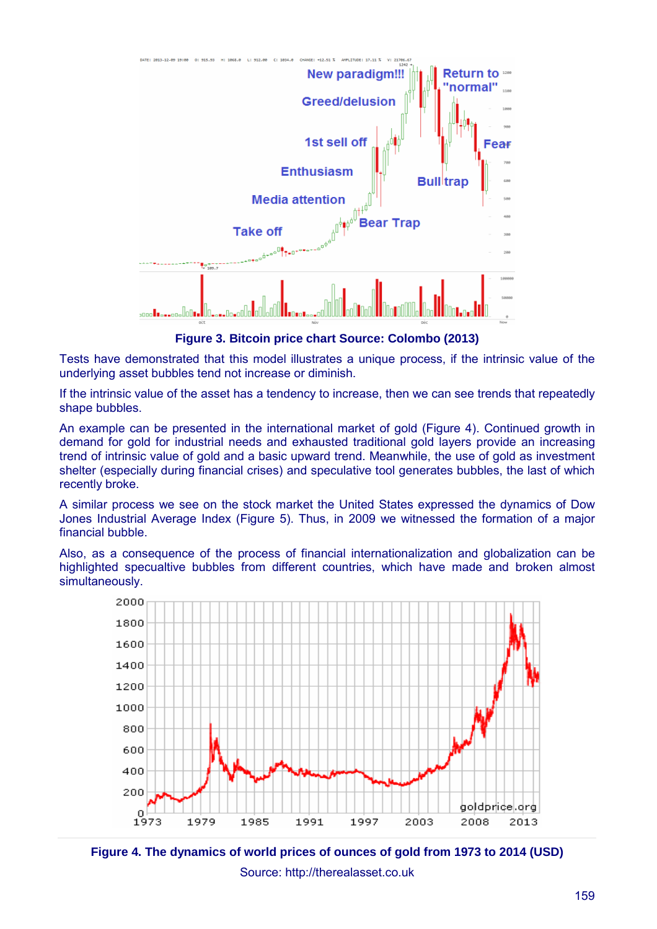

**Figure 3. Bitcoin price chart Source: Colombo (2013)**

Tests have demonstrated that this model illustrates a unique process, if the intrinsic value of the underlying asset bubbles tend not increase or diminish.

If the intrinsic value of the asset has a tendency to increase, then we can see trends that repeatedly shape bubbles.

An example can be presented in the international market of gold (Figure 4). Continued growth in demand for gold for industrial needs and exhausted traditional gold layers provide an increasing trend of intrinsic value of gold and a basic upward trend. Meanwhile, the use of gold as investment shelter (especially during financial crises) and speculative tool generates bubbles, the last of which recently broke.

A similar process we see on the stock market the United States expressed the dynamics of Dow Jones Industrial Average Index (Figure 5). Thus, in 2009 we witnessed the formation of a major financial bubble.

Also, as a consequence of the process of financial internationalization and globalization can be highlighted specualtive bubbles from different countries, which have made and broken almost simultaneously.



**Figure 4. The dynamics of world prices of ounces of gold from 1973 to 2014 (USD)** Source: http://therealasset.co.uk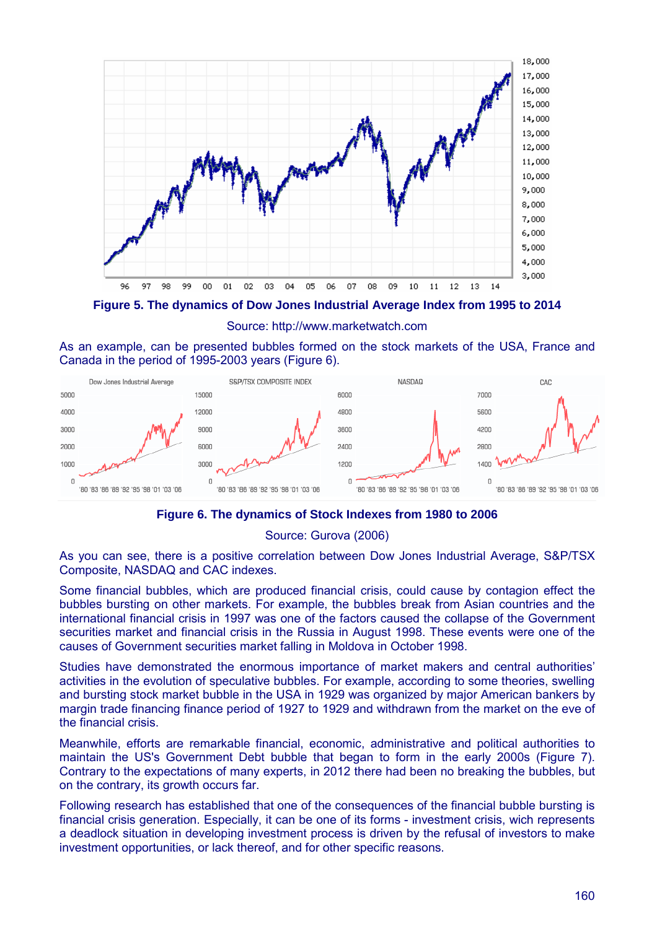

**Figure 5. The dynamics of Dow Jones Industrial Average Index from 1995 to 2014**

#### Source: http://www.marketwatch.com

As an example, can be presented bubbles formed on the stock markets of the USA, France and Canada in the period of 1995-2003 years (Figure 6).



# **Figure 6. The dynamics of Stock Indexes from 1980 to 2006**

#### Source: Gurova (2006)

As you can see, there is a positive correlation between Dow Jones Industrial Average, S&P/TSX Composite, NASDAQ and CAC indexes.

Some financial bubbles, which are produced financial crisis, could cause by contagion effect the bubbles bursting on other markets. For example, the bubbles break from Asian countries and the international financial crisis in 1997 was one of the factors caused the collapse of the Government securities market and financial crisis in the Russia in August 1998. These events were one of the causes of Government securities market falling in Moldova in October 1998.

Studies have demonstrated the enormous importance of market makers and central authorities' activities in the evolution of speculative bubbles. For example, according to some theories, swelling and bursting stock market bubble in the USA in 1929 was organized by major American bankers by margin trade financing finance period of 1927 to 1929 and withdrawn from the market on the eve of the financial crisis.

Meanwhile, efforts are remarkable financial, economic, administrative and political authorities to maintain the US's Government Debt bubble that began to form in the early 2000s (Figure 7). Contrary to the expectations of many experts, in 2012 there had been no breaking the bubbles, but on the contrary, its growth occurs far.

Following research has established that one of the consequences of the financial bubble bursting is financial crisis generation. Especially, it can be one of its forms - investment crisis, wich represents a deadlock situation in developing investment process is driven by the refusal of investors to make investment opportunities, or lack thereof, and for other specific reasons.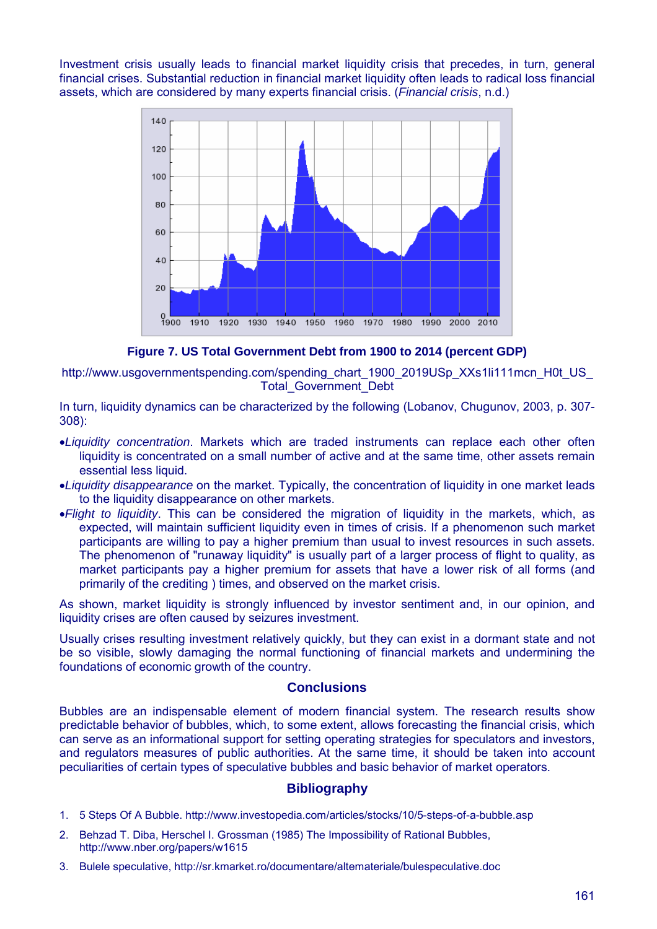Investment crisis usually leads to financial market liquidity crisis that precedes, in turn, general financial crises. Substantial reduction in financial market liquidity often leads to radical loss financial assets, which are considered by many experts financial crisis. (*Financial crisis*, n.d.)



**Figure 7. US Total Government Debt from 1900 to 2014 (percent GDP)**

http://www.usgovernmentspending.com/spending\_chart\_1900\_2019USp\_XXs1li111mcn\_H0t\_US Total\_Government\_Debt

In turn, liquidity dynamics can be characterized by the following (Lobanov, Chugunov, 2003, p. 307- 308):

- *Liquidity concentration*. Markets which are traded instruments can replace each other often liquidity is concentrated on a small number of active and at the same time, other assets remain essential less liquid.
- *Liquidity disappearance* on the market. Typically, the concentration of liquidity in one market leads to the liquidity disappearance on other markets.
- *Flight to liquidity*. This can be considered the migration of liquidity in the markets, which, as expected, will maintain sufficient liquidity even in times of crisis. If a phenomenon such market participants are willing to pay a higher premium than usual to invest resources in such assets. The phenomenon of "runaway liquidity" is usually part of a larger process of flight to quality, as market participants pay a higher premium for assets that have a lower risk of all forms (and primarily of the crediting ) times, and observed on the market crisis.

As shown, market liquidity is strongly influenced by investor sentiment and, in our opinion, and liquidity crises are often caused by seizures investment.

Usually crises resulting investment relatively quickly, but they can exist in a dormant state and not be so visible, slowly damaging the normal functioning of financial markets and undermining the foundations of economic growth of the country.

#### **Conclusions**

Bubbles are an indispensable element of modern financial system. The research results show predictable behavior of bubbles, which, to some extent, allows forecasting the financial crisis, which can serve as an informational support for setting operating strategies for speculators and investors, and regulators measures of public authorities. At the same time, it should be taken into account peculiarities of certain types of speculative bubbles and basic behavior of market operators.

## **Bibliography**

- 1. 5 Steps Of A Bubble. http://www.investopedia.com/articles/stocks/10/5-steps-of-a-bubble.asp
- 2. Behzad T. Diba, Herschel I. Grossman (1985) The Impossibility of Rational Bubbles, http://www.nber.org/papers/w1615
- 3. Bulele speculative, http://sr.kmarket.ro/documentare/altemateriale/bulespeculative.doc